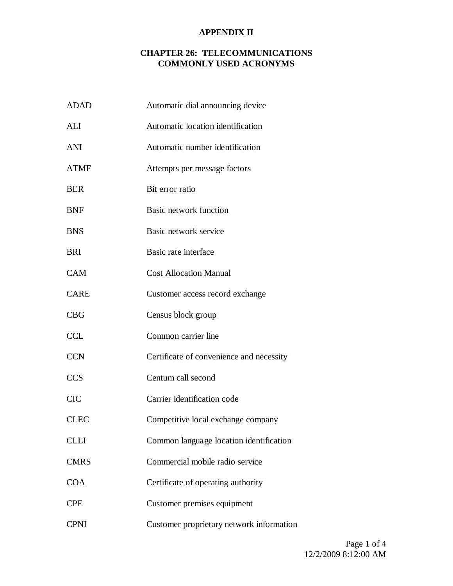| <b>ADAD</b> | Automatic dial announcing device         |
|-------------|------------------------------------------|
| ALI         | Automatic location identification        |
| ANI         | Automatic number identification          |
| <b>ATMF</b> | Attempts per message factors             |
| <b>BER</b>  | Bit error ratio                          |
| <b>BNF</b>  | Basic network function                   |
| <b>BNS</b>  | Basic network service                    |
| BRI         | Basic rate interface                     |
| <b>CAM</b>  | <b>Cost Allocation Manual</b>            |
| <b>CARE</b> | Customer access record exchange          |
| CBG         | Census block group                       |
| <b>CCL</b>  | Common carrier line                      |
| <b>CCN</b>  | Certificate of convenience and necessity |
| <b>CCS</b>  | Centum call second                       |
| <b>CIC</b>  | Carrier identification code              |
| <b>CLEC</b> | Competitive local exchange company       |
| <b>CLLI</b> | Common language location identification  |
| <b>CMRS</b> | Commercial mobile radio service          |
| <b>COA</b>  | Certificate of operating authority       |
| <b>CPE</b>  | Customer premises equipment              |
| <b>CPNI</b> | Customer proprietary network information |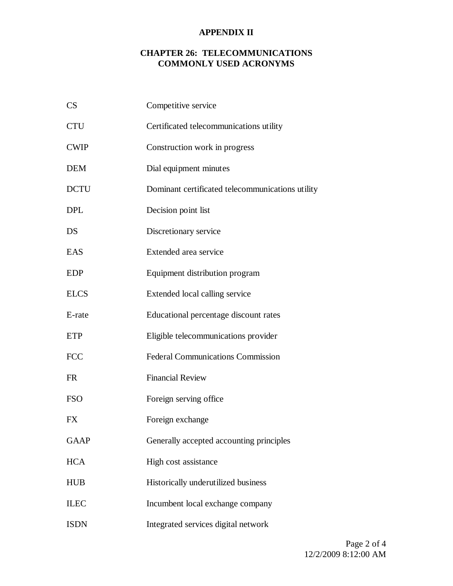| CS          | Competitive service                              |
|-------------|--------------------------------------------------|
| <b>CTU</b>  | Certificated telecommunications utility          |
| <b>CWIP</b> | Construction work in progress                    |
| <b>DEM</b>  | Dial equipment minutes                           |
| <b>DCTU</b> | Dominant certificated telecommunications utility |
| <b>DPL</b>  | Decision point list                              |
| DS          | Discretionary service                            |
| EAS         | Extended area service                            |
| <b>EDP</b>  | Equipment distribution program                   |
| <b>ELCS</b> | Extended local calling service                   |
| E-rate      | Educational percentage discount rates            |
| <b>ETP</b>  | Eligible telecommunications provider             |
| <b>FCC</b>  | <b>Federal Communications Commission</b>         |
| <b>FR</b>   | <b>Financial Review</b>                          |
| <b>FSO</b>  | Foreign serving office                           |
| <b>FX</b>   | Foreign exchange                                 |
| <b>GAAP</b> | Generally accepted accounting principles         |
| <b>HCA</b>  | High cost assistance                             |
| <b>HUB</b>  | Historically underutilized business              |
| <b>ILEC</b> | Incumbent local exchange company                 |
| <b>ISDN</b> | Integrated services digital network              |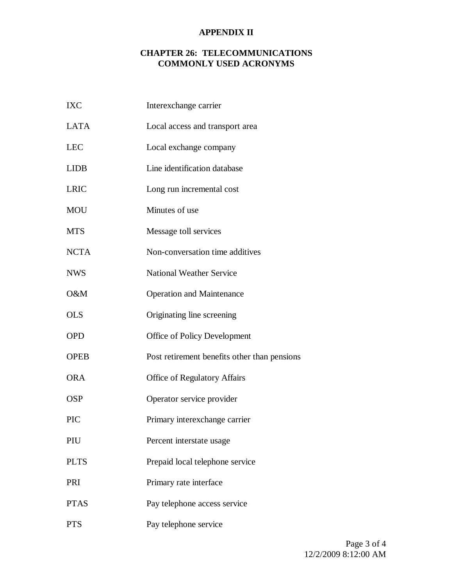| <b>IXC</b>  | Interexchange carrier                        |
|-------------|----------------------------------------------|
| <b>LATA</b> | Local access and transport area              |
| <b>LEC</b>  | Local exchange company                       |
| <b>LIDB</b> | Line identification database                 |
| <b>LRIC</b> | Long run incremental cost                    |
| <b>MOU</b>  | Minutes of use                               |
| <b>MTS</b>  | Message toll services                        |
| <b>NCTA</b> | Non-conversation time additives              |
| <b>NWS</b>  | <b>National Weather Service</b>              |
| O&M         | <b>Operation and Maintenance</b>             |
| <b>OLS</b>  | Originating line screening                   |
| <b>OPD</b>  | Office of Policy Development                 |
| <b>OPEB</b> | Post retirement benefits other than pensions |
| <b>ORA</b>  | <b>Office of Regulatory Affairs</b>          |
| <b>OSP</b>  | Operator service provider                    |
| <b>PIC</b>  | Primary interexchange carrier                |
| PIU         | Percent interstate usage                     |
| <b>PLTS</b> | Prepaid local telephone service              |
| PRI         | Primary rate interface                       |
| <b>PTAS</b> | Pay telephone access service                 |
| <b>PTS</b>  | Pay telephone service                        |